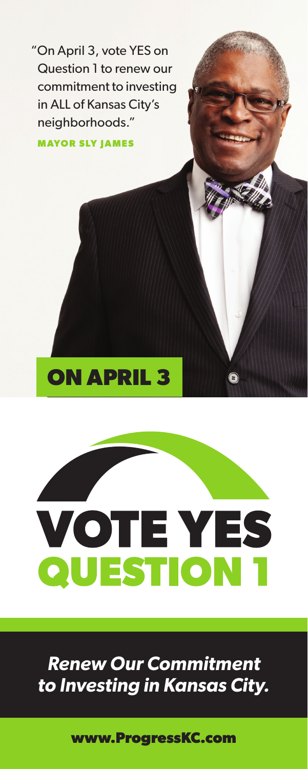"On April 3, vote YES on Question 1 to renew our commitment to investing in ALL of Kansas City's neighborhoods."

**MAYOR SLY JAMES**

## **ON APRIL 3**

# **VOTE YES** QUESTION 1

### *Renew Our Commitment to Investing in Kansas City.*

**www.ProgressKC.com**